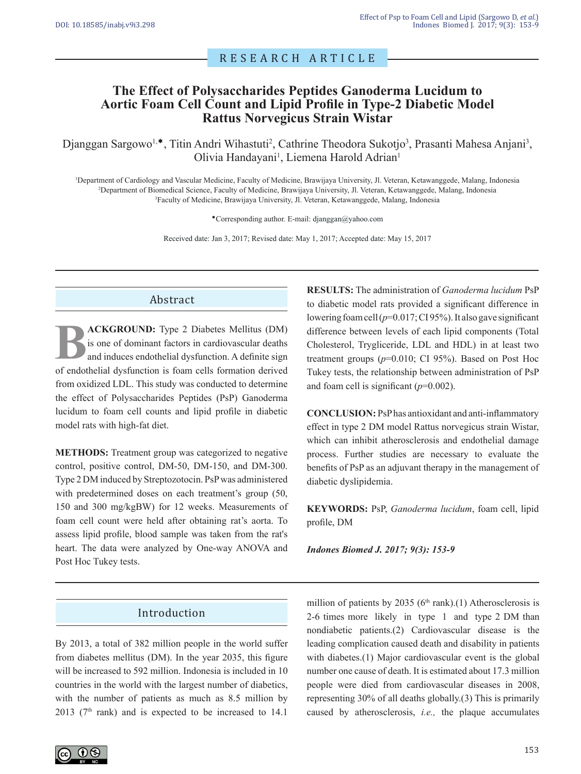# RESEARCH ARTICLE

# **The Effect of Polysaccharides Peptides Ganoderma Lucidum to Aortic Foam Cell Count and Lipid Profile in Type-2 Diabetic Model Rattus Norvegicus Strain Wistar**

Djanggan Sargowo<sup>1,\*</sup>, Titin Andri Wihastuti<sup>2</sup>, Cathrine Theodora Sukotjo<sup>3</sup>, Prasanti Mahesa Anjani<sup>3</sup>, Olivia Handayani<sup>1</sup>, Liemena Harold Adrian<sup>1</sup>

<sup>1</sup>Department of Cardiology and Vascular Medicine, Faculty of Medicine, Brawijaya University, Jl. Veteran, Ketawanggede, Malang, Indonesia <sup>2</sup>Department of Biomedical Science, Faculty of Medicine, Brawijaya University, Jl. Veteran, Ketawanggede, Malang, Indonesia <sup>3</sup>Faculty of Medicine, Brawijaya University, Jl. Veteran, Ketawanggede, Malang, Indonesia

Corresponding author. E-mail: djanggan@yahoo.com

Received date: Jan 3, 2017; Revised date: May 1, 2017; Accepted date: May 15, 2017

### Abstract

**BUNICH ENGINISH ENGINEER CONSERVANCE CONSERVING A SUBARISM and induces endothelial dysfunction. A definite sign of endothelial dysfunction is foam cells formation derived ACKGROUND:** Type 2 Diabetes Mellitus (DM) is one of dominant factors in cardiovascular deaths and induces endothelial dysfunction. A definite sign from oxidized LDL. This study was conducted to determine the effect of Polysaccharides Peptides (PsP) Ganoderma lucidum to foam cell counts and lipid profile in diabetic model rats with high-fat diet.

**METHODS:** Treatment group was categorized to negative control, positive control, DM-50, DM-150, and DM-300. Type 2 DM induced by Streptozotocin. PsP was administered with predetermined doses on each treatment's group (50, 150 and 300 mg/kgBW) for 12 weeks. Measurements of foam cell count were held after obtaining rat's aorta. To assess lipid profile, blood sample was taken from the rat's heart. The data were analyzed by One-way ANOVA and Post Hoc Tukey tests.

**RESULTS:** The administration of *Ganoderma lucidum* PsP to diabetic model rats provided a significant difference in lowering foam cell (*p*=0.017; CI 95%). It also gave significant difference between levels of each lipid components (Total Cholesterol, Trygliceride, LDL and HDL) in at least two treatment groups  $(p=0.010; C1 95%)$ . Based on Post Hoc Tukey tests, the relationship between administration of PsP and foam cell is significant (*p*=0.002).

**CONCLUSION:** PsP has antioxidant and anti-inflammatory effect in type 2 DM model Rattus norvegicus strain Wistar, which can inhibit atherosclerosis and endothelial damage process. Further studies are necessary to evaluate the benefits of PsP as an adjuvant therapy in the management of diabetic dyslipidemia.

**KEYWORDS:** PsP, *Ganoderma lucidum*, foam cell, lipid profile, DM

*Indones Biomed J. 2017; 9(3): 153-9*

### Introduction

By 2013, a total of 382 million people in the world suffer from diabetes mellitus (DM). In the year 2035, this figure will be increased to 592 million. Indonesia is included in 10 countries in the world with the largest number of diabetics, with the number of patients as much as 8.5 million by 2013 ( $7<sup>th</sup>$  rank) and is expected to be increased to 14.1

million of patients by 2035 ( $6<sup>th</sup>$  rank).(1) Atherosclerosis is 2-6 times more likely in type 1 and type 2 DM than nondiabetic patients.(2) Cardiovascular disease is the leading complication caused death and disability in patients with diabetes.(1) Major cardiovascular event is the global number one cause of death. It is estimated about 17.3 million people were died from cardiovascular diseases in 2008, representing 30% of all deaths globally.(3) This is primarily caused by atherosclerosis, *i.e.,* the plaque accumulates

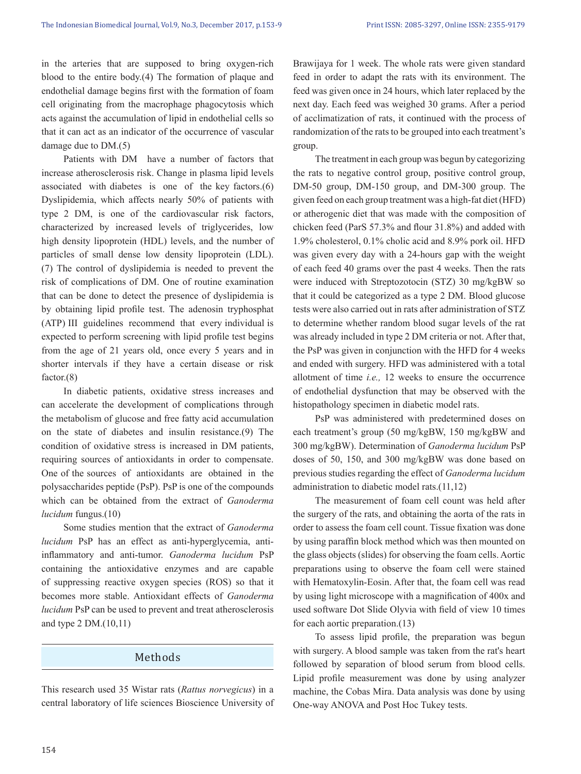in the arteries that are supposed to bring oxygen-rich blood to the entire body.(4) The formation of plaque and endothelial damage begins first with the formation of foam cell originating from the macrophage phagocytosis which acts against the accumulation of lipid in endothelial cells so that it can act as an indicator of the occurrence of vascular damage due to DM.(5)

 Patients with DM have a number of factors that increase atherosclerosis risk. Change in plasma lipid levels associated with diabetes is one of the key factors.(6) Dyslipidemia, which affects nearly 50% of patients with type 2 DM, is one of the cardiovascular risk factors, characterized by increased levels of triglycerides, low high density lipoprotein (HDL) levels, and the number of particles of small dense low density lipoprotein (LDL). (7) The control of dyslipidemia is needed to prevent the risk of complications of DM. One of routine examination that can be done to detect the presence of dyslipidemia is by obtaining lipid profile test. The adenosin tryphosphat (ATP) III guidelines recommend that every individual is expected to perform screening with lipid profile test begins from the age of 21 years old, once every 5 years and in shorter intervals if they have a certain disease or risk factor.(8)

 In diabetic patients, oxidative stress increases and can accelerate the development of complications through the metabolism of glucose and free fatty acid accumulation on the state of diabetes and insulin resistance.(9) The condition of oxidative stress is increased in DM patients, requiring sources of antioxidants in order to compensate. One of the sources of antioxidants are obtained in the polysaccharides peptide (PsP). PsP is one of the compounds which can be obtained from the extract of *Ganoderma lucidum* fungus.(10)

 Some studies mention that the extract of *Ganoderma lucidum* PsP has an effect as anti-hyperglycemia, antiinflammatory and anti-tumor. *Ganoderma lucidum* PsP containing the antioxidative enzymes and are capable of suppressing reactive oxygen species (ROS) so that it becomes more stable. Antioxidant effects of *Ganoderma lucidum* PsP can be used to prevent and treat atherosclerosis and type 2 DM.(10,11)

### Methods

This research used 35 Wistar rats (*Rattus norvegicus*) in a central laboratory of life sciences Bioscience University of Brawijaya for 1 week. The whole rats were given standard feed in order to adapt the rats with its environment. The feed was given once in 24 hours, which later replaced by the next day. Each feed was weighed 30 grams. After a period of acclimatization of rats, it continued with the process of randomization of the rats to be grouped into each treatment's group.

 The treatment in each group was begun by categorizing the rats to negative control group, positive control group, DM-50 group, DM-150 group, and DM-300 group. The given feed on each group treatment was a high-fat diet (HFD) or atherogenic diet that was made with the composition of chicken feed (ParS 57.3% and flour 31.8%) and added with 1.9% cholesterol, 0.1% cholic acid and 8.9% pork oil. HFD was given every day with a 24-hours gap with the weight of each feed 40 grams over the past 4 weeks. Then the rats were induced with Streptozotocin (STZ) 30 mg/kgBW so that it could be categorized as a type 2 DM. Blood glucose tests were also carried out in rats after administration of STZ to determine whether random blood sugar levels of the rat was already included in type 2 DM criteria or not. After that, the PsP was given in conjunction with the HFD for 4 weeks and ended with surgery. HFD was administered with a total allotment of time *i.e.,* 12 weeks to ensure the occurrence of endothelial dysfunction that may be observed with the histopathology specimen in diabetic model rats.

 PsP was administered with predetermined doses on each treatment's group (50 mg/kgBW, 150 mg/kgBW and 300 mg/kgBW). Determination of *Ganoderma lucidum* PsP doses of 50, 150, and 300 mg/kgBW was done based on previous studies regarding the effect of *Ganoderma lucidum*  administration to diabetic model rats.(11,12)

 The measurement of foam cell count was held after the surgery of the rats, and obtaining the aorta of the rats in order to assess the foam cell count. Tissue fixation was done by using paraffin block method which was then mounted on the glass objects (slides) for observing the foam cells. Aortic preparations using to observe the foam cell were stained with Hematoxylin-Eosin. After that, the foam cell was read by using light microscope with a magnification of 400x and used software Dot Slide Olyvia with field of view 10 times for each aortic preparation.(13)

 To assess lipid profile, the preparation was begun with surgery. A blood sample was taken from the rat's heart followed by separation of blood serum from blood cells. Lipid profile measurement was done by using analyzer machine, the Cobas Mira. Data analysis was done by using One-way ANOVA and Post Hoc Tukey tests.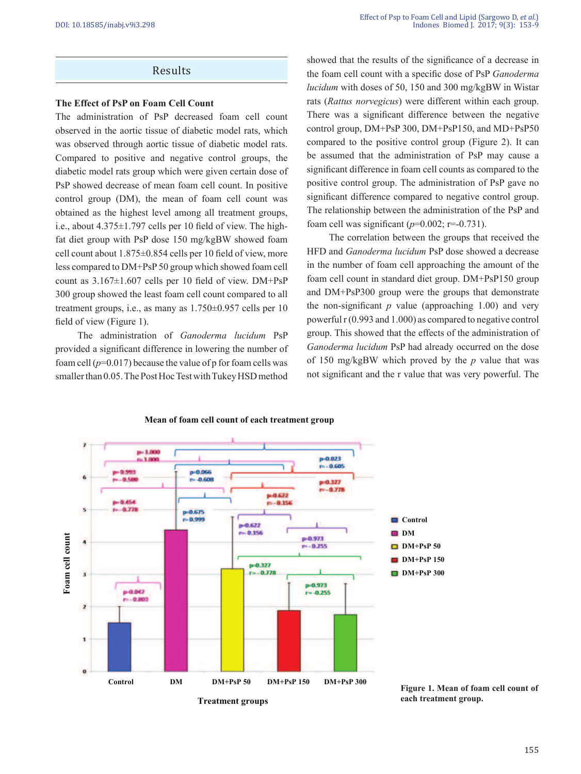### Results

#### **The Effect of PsP on Foam Cell Count**

The administration of PsP decreased foam cell count observed in the aortic tissue of diabetic model rats, which was observed through aortic tissue of diabetic model rats. Compared to positive and negative control groups, the diabetic model rats group which were given certain dose of PsP showed decrease of mean foam cell count. In positive control group (DM), the mean of foam cell count was obtained as the highest level among all treatment groups, i.e., about 4.375±1.797 cells per 10 field of view. The highfat diet group with PsP dose 150 mg/kgBW showed foam cell count about 1.875±0.854 cells per 10 field of view, more less compared to DM+PsP 50 group which showed foam cell count as 3.167±1.607 cells per 10 field of view. DM+PsP 300 group showed the least foam cell count compared to all treatment groups, i.e., as many as 1.750±0.957 cells per 10 field of view (Figure 1).

 The administration of *Ganoderma lucidum* PsP provided a significant difference in lowering the number of foam cell  $(p=0.017)$  because the value of p for foam cells was smaller than 0.05. The Post Hoc Test with Tukey HSD method showed that the results of the significance of a decrease in the foam cell count with a specific dose of PsP *Ganoderma lucidum* with doses of 50, 150 and 300 mg/kgBW in Wistar rats (*Rattus norvegicus*) were different within each group. There was a significant difference between the negative control group, DM+PsP 300, DM+PsP150, and MD+PsP50 compared to the positive control group (Figure 2). It can be assumed that the administration of PsP may cause a significant difference in foam cell counts as compared to the positive control group. The administration of PsP gave no significant difference compared to negative control group. The relationship between the administration of the PsP and foam cell was significant  $(p=0.002; r=-0.731)$ .

 The correlation between the groups that received the HFD and *Ganoderma lucidum* PsP dose showed a decrease in the number of foam cell approaching the amount of the foam cell count in standard diet group. DM+PsP150 group and DM+PsP300 group were the groups that demonstrate the non-significant  $p$  value (approaching 1.00) and very powerful r (0.993 and 1.000) as compared to negative control group. This showed that the effects of the administration of *Ganoderma lucidum* PsP had already occurred on the dose of 150 mg/kgBW which proved by the *p* value that was not significant and the r value that was very powerful. The



#### **Mean of foam cell count of each treatment group**

**Figure 1. Mean of foam cell count of each treatment group.**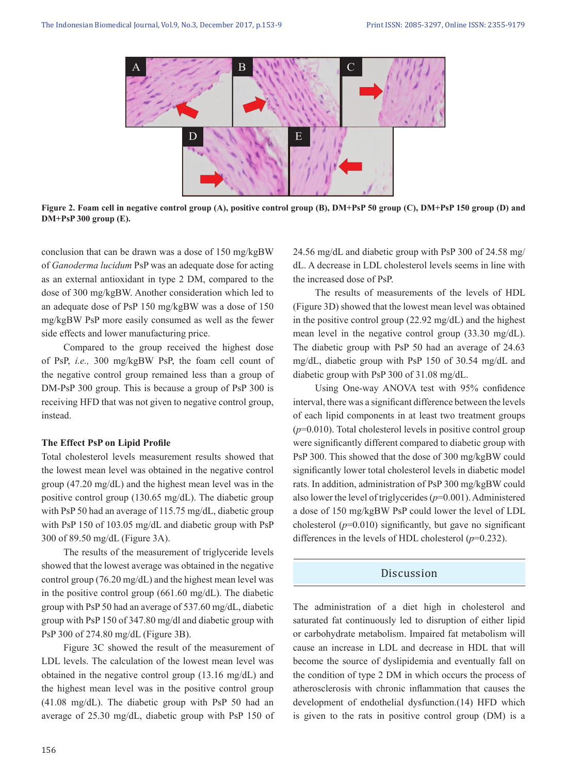

**Figure 2. Foam cell in negative control group (A), positive control group (B), DM+PsP 50 group (C), DM+PsP 150 group (D) and DM+PsP 300 group (E).**

conclusion that can be drawn was a dose of 150 mg/kgBW of *Ganoderma lucidum* PsP was an adequate dose for acting as an external antioxidant in type 2 DM, compared to the dose of 300 mg/kgBW. Another consideration which led to an adequate dose of PsP 150 mg/kgBW was a dose of 150 mg/kgBW PsP more easily consumed as well as the fewer side effects and lower manufacturing price.

 Compared to the group received the highest dose of PsP, *i.e.,* 300 mg/kgBW PsP, the foam cell count of the negative control group remained less than a group of DM-PsP 300 group. This is because a group of PsP 300 is receiving HFD that was not given to negative control group, instead.

#### **The Effect PsP on Lipid Profile**

Total cholesterol levels measurement results showed that the lowest mean level was obtained in the negative control group (47.20 mg/dL) and the highest mean level was in the positive control group (130.65 mg/dL). The diabetic group with PsP 50 had an average of 115.75 mg/dL, diabetic group with PsP 150 of 103.05 mg/dL and diabetic group with PsP 300 of 89.50 mg/dL (Figure 3A).

 The results of the measurement of triglyceride levels showed that the lowest average was obtained in the negative control group (76.20 mg/dL) and the highest mean level was in the positive control group (661.60 mg/dL). The diabetic group with PsP 50 had an average of 537.60 mg/dL, diabetic group with PsP 150 of 347.80 mg/dl and diabetic group with PsP 300 of 274.80 mg/dL (Figure 3B).

 Figure 3C showed the result of the measurement of LDL levels. The calculation of the lowest mean level was obtained in the negative control group (13.16 mg/dL) and the highest mean level was in the positive control group (41.08 mg/dL). The diabetic group with PsP 50 had an average of 25.30 mg/dL, diabetic group with PsP 150 of

156

24.56 mg/dL and diabetic group with PsP 300 of 24.58 mg/ dL. A decrease in LDL cholesterol levels seems in line with the increased dose of PsP.

 The results of measurements of the levels of HDL (Figure 3D) showed that the lowest mean level was obtained in the positive control group (22.92 mg/dL) and the highest mean level in the negative control group (33.30 mg/dL). The diabetic group with PsP 50 had an average of 24.63 mg/dL, diabetic group with PsP 150 of 30.54 mg/dL and diabetic group with PsP 300 of 31.08 mg/dL.

 Using One-way ANOVA test with 95% confidence interval, there was a significant difference between the levels of each lipid components in at least two treatment groups (*p*=0.010). Total cholesterol levels in positive control group were significantly different compared to diabetic group with PsP 300. This showed that the dose of 300 mg/kgBW could significantly lower total cholesterol levels in diabetic model rats. In addition, administration of PsP 300 mg/kgBW could also lower the level of triglycerides (*p*=0.001). Administered a dose of 150 mg/kgBW PsP could lower the level of LDL cholesterol  $(p=0.010)$  significantly, but gave no significant differences in the levels of HDL cholesterol (*p*=0.232).

#### Discussion

The administration of a diet high in cholesterol and saturated fat continuously led to disruption of either lipid or carbohydrate metabolism. Impaired fat metabolism will cause an increase in LDL and decrease in HDL that will become the source of dyslipidemia and eventually fall on the condition of type 2 DM in which occurs the process of atherosclerosis with chronic inflammation that causes the development of endothelial dysfunction.(14) HFD which is given to the rats in positive control group (DM) is a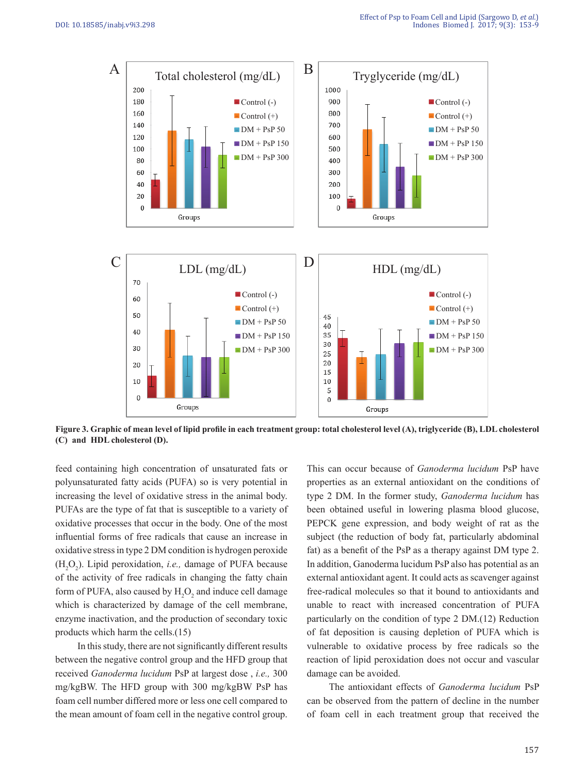

**Figure 3. Graphic of mean level of lipid profile in each treatment group: total cholesterol level (A), triglyceride (B), LDL cholesterol (C) and HDL cholesterol (D).**

feed containing high concentration of unsaturated fats or polyunsaturated fatty acids (PUFA) so is very potential in increasing the level of oxidative stress in the animal body. PUFAs are the type of fat that is susceptible to a variety of oxidative processes that occur in the body. One of the most influential forms of free radicals that cause an increase in oxidative stress in type 2 DM condition is hydrogen peroxide  $(H_2O_2)$ . Lipid peroxidation, *i.e.*, damage of PUFA because of the activity of free radicals in changing the fatty chain form of PUFA, also caused by  $H_2O_2$  and induce cell damage which is characterized by damage of the cell membrane, enzyme inactivation, and the production of secondary toxic products which harm the cells.(15)

 In this study, there are not significantly different results between the negative control group and the HFD group that received *Ganoderma lucidum* PsP at largest dose , *i.e.,* 300 mg/kgBW. The HFD group with 300 mg/kgBW PsP has foam cell number differed more or less one cell compared to the mean amount of foam cell in the negative control group.

This can occur because of *Ganoderma lucidum* PsP have properties as an external antioxidant on the conditions of type 2 DM. In the former study, *Ganoderma lucidum* has been obtained useful in lowering plasma blood glucose, PEPCK gene expression, and body weight of rat as the subject (the reduction of body fat, particularly abdominal fat) as a benefit of the PsP as a therapy against DM type 2. In addition, Ganoderma lucidum PsP also has potential as an external antioxidant agent. It could acts as scavenger against free-radical molecules so that it bound to antioxidants and unable to react with increased concentration of PUFA particularly on the condition of type 2 DM.(12) Reduction of fat deposition is causing depletion of PUFA which is vulnerable to oxidative process by free radicals so the reaction of lipid peroxidation does not occur and vascular damage can be avoided.

 The antioxidant effects of *Ganoderma lucidum* PsP can be observed from the pattern of decline in the number of foam cell in each treatment group that received the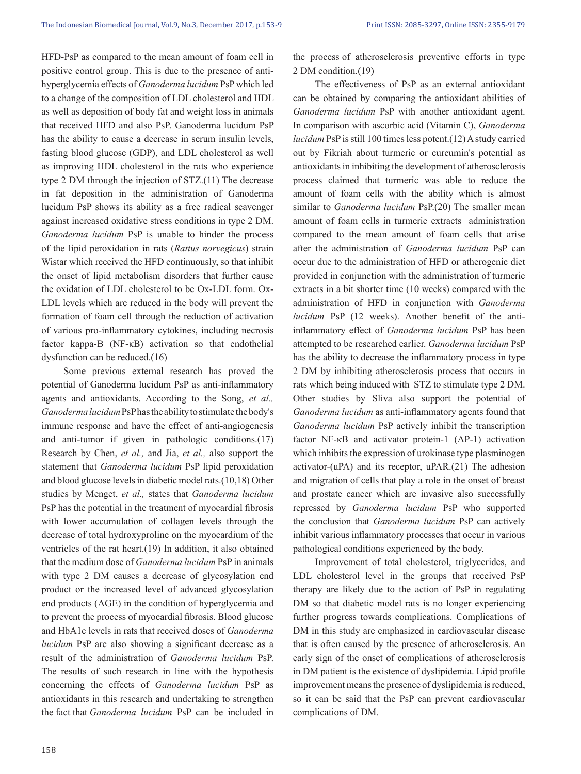HFD-PsP as compared to the mean amount of foam cell in positive control group. This is due to the presence of antihyperglycemia effects of *Ganoderma lucidum* PsP which led to a change of the composition of LDL cholesterol and HDL as well as deposition of body fat and weight loss in animals that received HFD and also PsP. Ganoderma lucidum PsP has the ability to cause a decrease in serum insulin levels, fasting blood glucose (GDP), and LDL cholesterol as well as improving HDL cholesterol in the rats who experience type 2 DM through the injection of STZ.(11) The decrease in fat deposition in the administration of Ganoderma lucidum PsP shows its ability as a free radical scavenger against increased oxidative stress conditions in type 2 DM. *Ganoderma lucidum* PsP is unable to hinder the process of the lipid peroxidation in rats (*Rattus norvegicus*) strain Wistar which received the HFD continuously, so that inhibit the onset of lipid metabolism disorders that further cause the oxidation of LDL cholesterol to be Ox-LDL form. Ox-LDL levels which are reduced in the body will prevent the formation of foam cell through the reduction of activation of various pro-inflammatory cytokines, including necrosis factor kappa-B (NF-κB) activation so that endothelial dysfunction can be reduced.(16)

 Some previous external research has proved the potential of Ganoderma lucidum PsP as anti-inflammatory agents and antioxidants. According to the Song, *et al., Ganoderma lucidum* PsP has the ability to stimulate the body's immune response and have the effect of anti-angiogenesis and anti-tumor if given in pathologic conditions.(17) Research by Chen, *et al.,* and Jia, *et al.,* also support the statement that *Ganoderma lucidum* PsP lipid peroxidation and blood glucose levels in diabetic model rats.(10,18) Other studies by Menget, *et al.,* states that *Ganoderma lucidum* PsP has the potential in the treatment of myocardial fibrosis with lower accumulation of collagen levels through the decrease of total hydroxyproline on the myocardium of the ventricles of the rat heart.(19) In addition, it also obtained that the medium dose of *Ganoderma lucidum* PsP in animals with type 2 DM causes a decrease of glycosylation end product or the increased level of advanced glycosylation end products (AGE) in the condition of hyperglycemia and to prevent the process of myocardial fibrosis. Blood glucose and HbA1c levels in rats that received doses of *Ganoderma lucidum* PsP are also showing a significant decrease as a result of the administration of *Ganoderma lucidum* PsP. The results of such research in line with the hypothesis concerning the effects of *Ganoderma lucidum* PsP as antioxidants in this research and undertaking to strengthen the fact that *Ganoderma lucidum* PsP can be included in

the process of atherosclerosis preventive efforts in type 2 DM condition.(19)

 The effectiveness of PsP as an external antioxidant can be obtained by comparing the antioxidant abilities of *Ganoderma lucidum* PsP with another antioxidant agent. In comparison with ascorbic acid (Vitamin C), *Ganoderma lucidum* PsP is still 100 times less potent.(12) A study carried out by Fikriah about turmeric or curcumin's potential as antioxidants in inhibiting the development of atherosclerosis process claimed that turmeric was able to reduce the amount of foam cells with the ability which is almost similar to *Ganoderma lucidum* PsP.(20) The smaller mean amount of foam cells in turmeric extracts administration compared to the mean amount of foam cells that arise after the administration of *Ganoderma lucidum* PsP can occur due to the administration of HFD or atherogenic diet provided in conjunction with the administration of turmeric extracts in a bit shorter time (10 weeks) compared with the administration of HFD in conjunction with *Ganoderma lucidum* PsP (12 weeks). Another benefit of the antiinflammatory effect of *Ganoderma lucidum* PsP has been attempted to be researched earlier. *Ganoderma lucidum* PsP has the ability to decrease the inflammatory process in type 2 DM by inhibiting atherosclerosis process that occurs in rats which being induced with STZ to stimulate type 2 DM. Other studies by Sliva also support the potential of *Ganoderma lucidum* as anti-inflammatory agents found that *Ganoderma lucidum* PsP actively inhibit the transcription factor NF-κB and activator protein-1 (AP-1) activation which inhibits the expression of urokinase type plasminogen activator-(uPA) and its receptor, uPAR.(21) The adhesion and migration of cells that play a role in the onset of breast and prostate cancer which are invasive also successfully repressed by *Ganoderma lucidum* PsP who supported the conclusion that *Ganoderma lucidum* PsP can actively inhibit various inflammatory processes that occur in various pathological conditions experienced by the body.

 Improvement of total cholesterol, triglycerides, and LDL cholesterol level in the groups that received PsP therapy are likely due to the action of PsP in regulating DM so that diabetic model rats is no longer experiencing further progress towards complications. Complications of DM in this study are emphasized in cardiovascular disease that is often caused by the presence of atherosclerosis. An early sign of the onset of complications of atherosclerosis in DM patient is the existence of dyslipidemia. Lipid profile improvement means the presence of dyslipidemia is reduced, so it can be said that the PsP can prevent cardiovascular complications of DM.